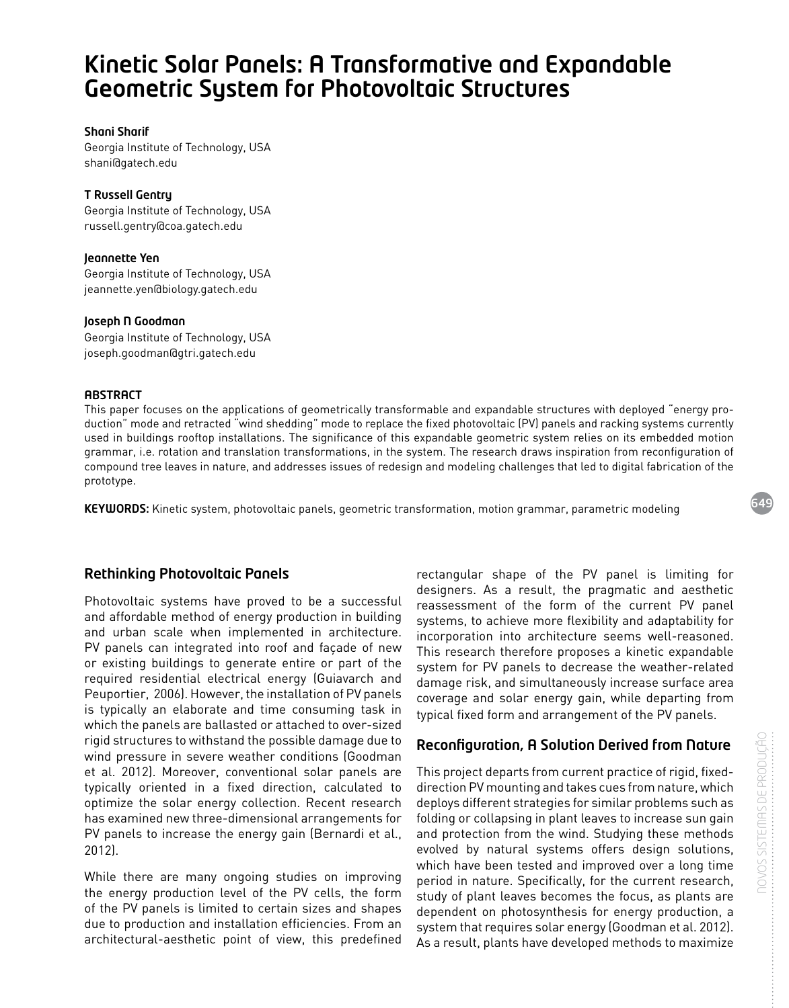# Kinetic Solar Panels: A Transformative and Expandable Geometric System for Photovoltaic Structures

#### Shani Sharif

Georgia Institute of Technology, USA shani@gatech.edu

## T Russell Gentry

Georgia Institute of Technology, USA russell.gentry@coa.gatech.edu

### Jeannette Yen

Georgia Institute of Technology, USA jeannette.yen@biology.gatech.edu

#### Joseph N Goodman

Georgia Institute of Technology, USA joseph.goodman@gtri.gatech.edu

## **ABSTRACT**

This paper focuses on the applications of geometrically transformable and expandable structures with deployed "energy production" mode and retracted "wind shedding" mode to replace the fixed photovoltaic (PV) panels and racking systems currently used in buildings rooftop installations. The significance of this expandable geometric system relies on its embedded motion grammar, i.e. rotation and translation transformations, in the system. The research draws inspiration from reconfiguration of compound tree leaves in nature, and addresses issues of redesign and modeling challenges that led to digital fabrication of the prototype.

KEYWORDS: Kinetic system, photovoltaic panels, geometric transformation, motion grammar, parametric modeling

# Rethinking Photovoltaic Panels

Photovoltaic systems have proved to be a successful and affordable method of energy production in building and urban scale when implemented in architecture. PV panels can integrated into roof and façade of new or existing buildings to generate entire or part of the required residential electrical energy (Guiavarch and Peuportier, 2006). However, the installation of PV panels is typically an elaborate and time consuming task in which the panels are ballasted or attached to over-sized rigid structures to withstand the possible damage due to wind pressure in severe weather conditions (Goodman et al. 2012). Moreover, conventional solar panels are typically oriented in a fixed direction, calculated to optimize the solar energy collection. Recent research has examined new three-dimensional arrangements for PV panels to increase the energy gain (Bernardi et al., 2012).

While there are many ongoing studies on improving the energy production level of the PV cells, the form of the PV panels is limited to certain sizes and shapes due to production and installation efficiencies. From an architectural-aesthetic point of view, this predefined

rectangular shape of the PV panel is limiting for designers. As a result, the pragmatic and aesthetic reassessment of the form of the current PV panel systems, to achieve more flexibility and adaptability for incorporation into architecture seems well-reasoned. This research therefore proposes a kinetic expandable system for PV panels to decrease the weather-related damage risk, and simultaneously increase surface area coverage and solar energy gain, while departing from typical fixed form and arrangement of the PV panels.

# Reconfiguration, A Solution Derived from Nature

This project departs from current practice of rigid, fixeddirection PV mounting and takes cues from nature, which deploys different strategies for similar problems such as folding or collapsing in plant leaves to increase sun gain and protection from the wind. Studying these methods evolved by natural systems offers design solutions, which have been tested and improved over a long time period in nature. Specifically, for the current research, study of plant leaves becomes the focus, as plants are dependent on photosynthesis for energy production, a system that requires solar energy (Goodman et al. 2012). As a result, plants have developed methods to maximize

649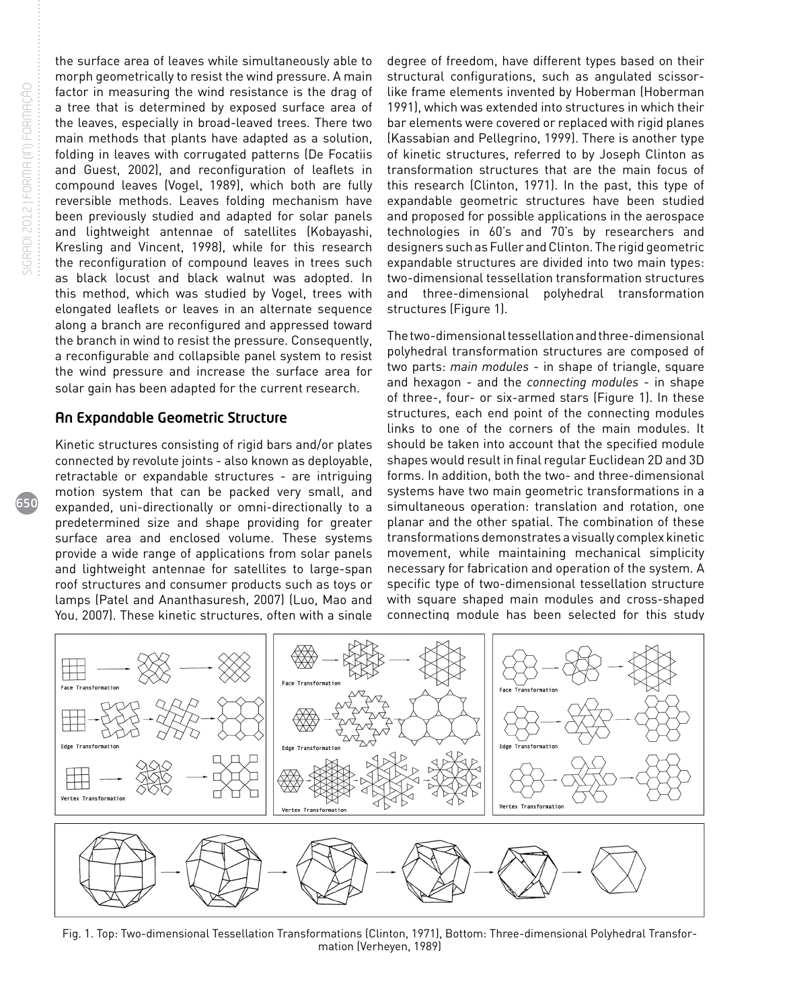650

the surface area of leaves while simultaneously able to morph geometrically to resist the wind pressure. A main factor in measuring the wind resistance is the drag of a tree that is determined by exposed surface area of the leaves, especially in broad-leaved trees. There two main methods that plants have adapted as a solution, folding in leaves with corrugated patterns (De Focatiis and Guest, 2002), and reconfiguration of leaflets in compound leaves (Vogel, 1989), which both are fully reversible methods. Leaves folding mechanism have been previously studied and adapted for solar panels and lightweight antennae of satellites (Kobayashi, Kresling and Vincent, 1998), while for this research the reconfiguration of compound leaves in trees such as black locust and black walnut was adopted. In this method, which was studied by Vogel, trees with elongated leaflets or leaves in an alternate sequence along a branch are reconfigured and appressed toward the branch in wind to resist the pressure. Consequently, a reconfigurable and collapsible panel system to resist the wind pressure and increase the surface area for solar gain has been adapted for the current research.

## An Expandable Geometric Structure

Kinetic structures consisting of rigid bars and/or plates connected by revolute joints - also known as deployable, retractable or expandable structures - are intriguing motion system that can be packed very small, and expanded, uni-directionally or omni-directionally to a predetermined size and shape providing for greater surface area and enclosed volume. These systems provide a wide range of applications from solar panels and lightweight antennae for satellites to large-span roof structures and consumer products such as toys or lamps (Patel and Ananthasuresh, 2007) (Luo, Mao and You, 2007). These kinetic structures, often with a single

degree of freedom, have different types based on their structural configurations, such as angulated scissorlike frame elements invented by Hoberman (Hoberman 1991), which was extended into structures in which their bar elements were covered or replaced with rigid planes (Kassabian and Pellegrino, 1999). There is another type of kinetic structures, referred to by Joseph Clinton as transformation structures that are the main focus of this research (Clinton, 1971). In the past, this type of expandable geometric structures have been studied and proposed for possible applications in the aerospace technologies in 60's and 70's by researchers and designers such as Fuller and Clinton. The rigid geometric expandable structures are divided into two main types: two-dimensional tessellation transformation structures and three-dimensional polyhedral transformation structures (Figure 1).

The two-dimensional tessellation and three-dimensional polyhedral transformation structures are composed of two parts: *main modules* - in shape of triangle, square and hexagon - and the *connecting modules* - in shape of three-, four- or six-armed stars (Figure 1). In these structures, each end point of the connecting modules links to one of the corners of the main modules. It should be taken into account that the specified module shapes would result in final regular Euclidean 2D and 3D forms. In addition, both the two- and three-dimensional systems have two main geometric transformations in a simultaneous operation: translation and rotation, one planar and the other spatial. The combination of these transformations demonstrates a visually complex kinetic movement, while maintaining mechanical simplicity necessary for fabrication and operation of the system. A specific type of two-dimensional tessellation structure with square shaped main modules and cross-shaped connecting module has been selected for this study



Fig. 1. Top: Two-dimensional Tessellation Transformations (Clinton, 1971), Bottom: Three-dimensional Polyhedral Transformation (Verheyen, 1989)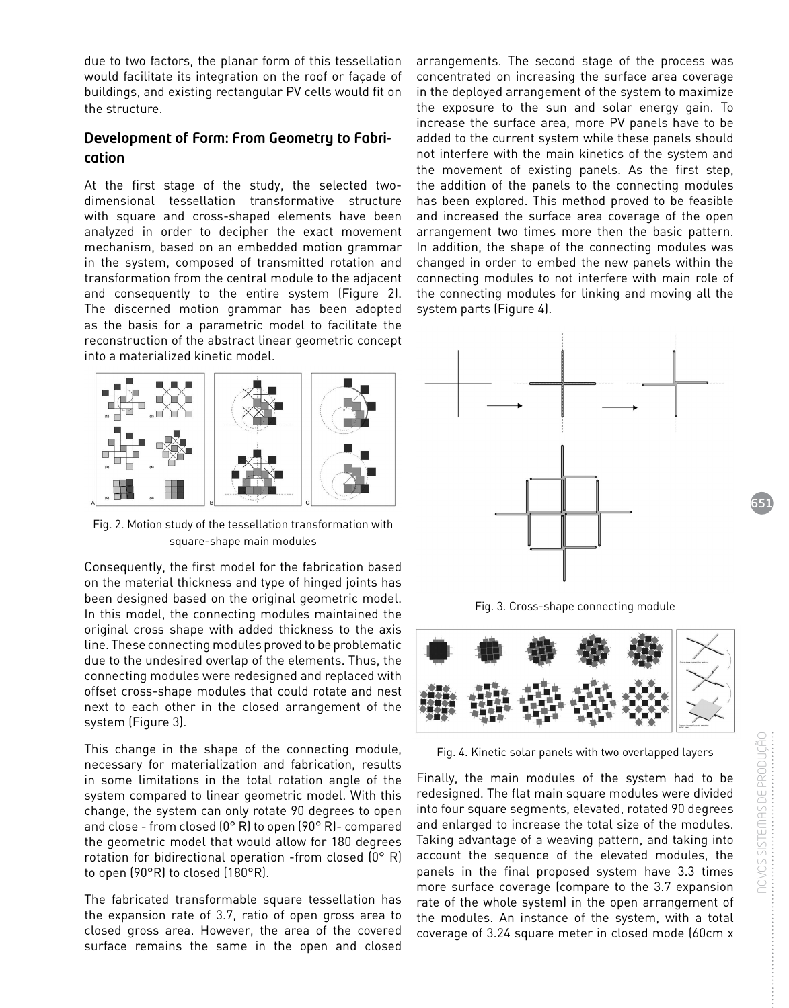due to two factors, the planar form of this tessellation would facilitate its integration on the roof or façade of buildings, and existing rectangular PV cells would fit on the structure.

# Development of Form: From Geometry to Fabrication

At the first stage of the study, the selected twodimensional tessellation transformative structure with square and cross-shaped elements have been analyzed in order to decipher the exact movement mechanism, based on an embedded motion grammar in the system, composed of transmitted rotation and transformation from the central module to the adjacent and consequently to the entire system (Figure 2). The discerned motion grammar has been adopted as the basis for a parametric model to facilitate the reconstruction of the abstract linear geometric concept into a materialized kinetic model.



Fig. 2. Motion study of the tessellation transformation with square-shape main modules

Consequently, the first model for the fabrication based on the material thickness and type of hinged joints has been designed based on the original geometric model. In this model, the connecting modules maintained the original cross shape with added thickness to the axis line. These connecting modules proved to be problematic due to the undesired overlap of the elements. Thus, the connecting modules were redesigned and replaced with offset cross-shape modules that could rotate and nest next to each other in the closed arrangement of the system (Figure 3).

This change in the shape of the connecting module, necessary for materialization and fabrication, results in some limitations in the total rotation angle of the system compared to linear geometric model. With this change, the system can only rotate 90 degrees to open and close - from closed (0° R) to open (90° R)- compared the geometric model that would allow for 180 degrees rotation for bidirectional operation -from closed (0° R) to open (90°R) to closed (180°R).

The fabricated transformable square tessellation has the expansion rate of 3.7, ratio of open gross area to closed gross area. However, the area of the covered surface remains the same in the open and closed arrangements. The second stage of the process was concentrated on increasing the surface area coverage in the deployed arrangement of the system to maximize the exposure to the sun and solar energy gain. To increase the surface area, more PV panels have to be added to the current system while these panels should not interfere with the main kinetics of the system and the movement of existing panels. As the first step, the addition of the panels to the connecting modules has been explored. This method proved to be feasible and increased the surface area coverage of the open arrangement two times more then the basic pattern. In addition, the shape of the connecting modules was changed in order to embed the new panels within the connecting modules to not interfere with main role of the connecting modules for linking and moving all the system parts (Figure 4).



Fig. 3. Cross-shape connecting module



Fig. 4. Kinetic solar panels with two overlapped layers

Finally, the main modules of the system had to be redesigned. The flat main square modules were divided into four square segments, elevated, rotated 90 degrees and enlarged to increase the total size of the modules. Taking advantage of a weaving pattern, and taking into account the sequence of the elevated modules, the panels in the final proposed system have 3.3 times more surface coverage (compare to the 3.7 expansion rate of the whole system) in the open arrangement of the modules. An instance of the system, with a total coverage of 3.24 square meter in closed mode (60cm x

651